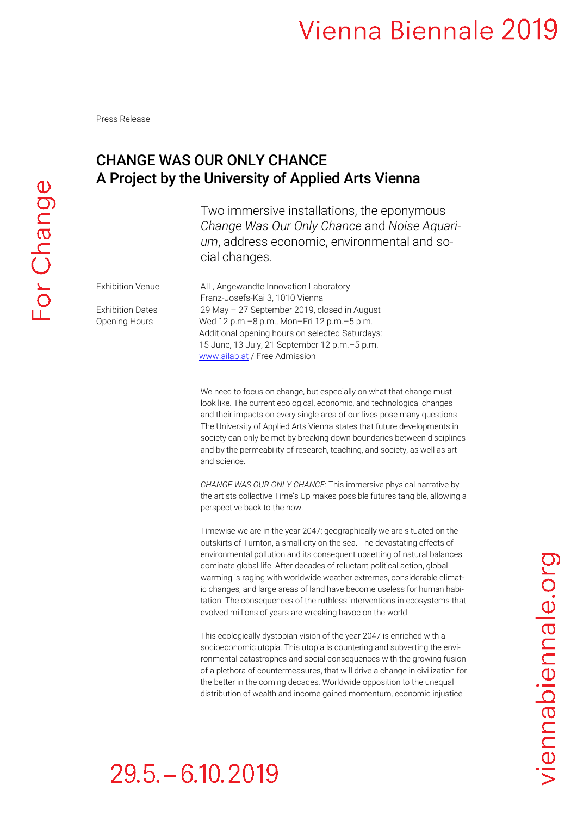#### Vienna Biennale 2019

Press Release

#### CHANGE WAS OUR ONLY CHANCE A Project by the University of Applied Arts Vienna

Two immersive installations, the eponymous *Change Was Our Only Chance* and *Noise Aquarium*, address economic, environmental and social changes.

Exhibition Venue AIL, Angewandte Innovation Laboratory Franz-Josefs-Kai 3, 1010 Vienna Exhibition Dates 29 May - 27 September 2019, closed in August Opening Hours Wed 12 p.m.–8 p.m., Mon–Fri 12 p.m.–5 p.m. Additional opening hours on selected Saturdays: 15 June, 13 July, 21 September 12 p.m.–5 p.m. [www.ailab.at](http://www.ailab.at/) / Free Admission

> We need to focus on change, but especially on what that change must look like. The current ecological, economic, and technological changes and their impacts on every single area of our lives pose many questions. The University of Applied Arts Vienna states that future developments in society can only be met by breaking down boundaries between disciplines and by the permeability of research, teaching, and society, as well as art and science.

> *CHANGE WAS OUR ONLY CHANCE*: This immersive physical narrative by the artists collective Time's Up makes possible futures tangible, allowing a perspective back to the now.

> Timewise we are in the year 2047; geographically we are situated on the outskirts of Turnton, a small city on the sea. The devastating effects of environmental pollution and its consequent upsetting of natural balances dominate global life. After decades of reluctant political action, global warming is raging with worldwide weather extremes, considerable climatic changes, and large areas of land have become useless for human habitation. The consequences of the ruthless interventions in ecosystems that evolved millions of years are wreaking havoc on the world.

> This ecologically dystopian vision of the year 2047 is enriched with a socioeconomic utopia. This utopia is countering and subverting the environmental catastrophes and social consequences with the growing fusion of a plethora of countermeasures, that will drive a change in civilization for the better in the coming decades. Worldwide opposition to the unequal distribution of wealth and income gained momentum, economic injustice

# $29.5 - 6.10, 2019$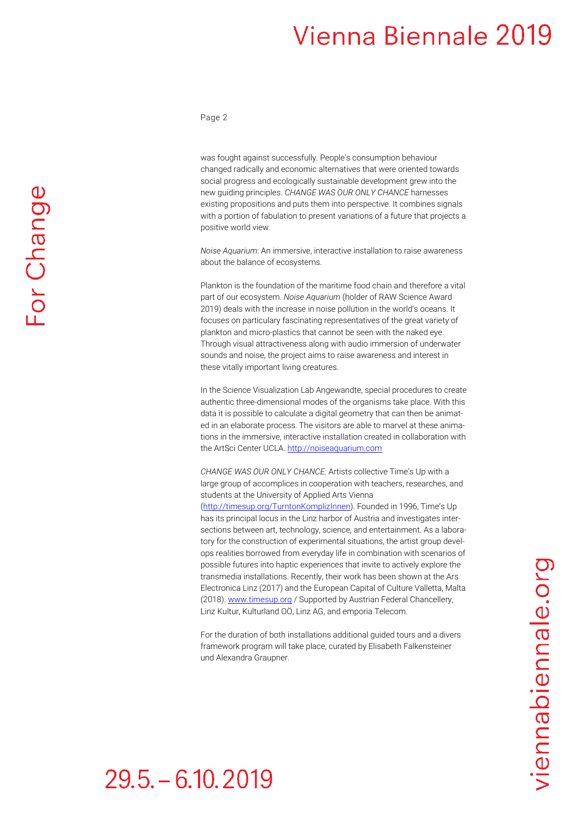### Vienna Biennale 2019

Page 2

was fought against successfully. People's consumption behaviour changed radically and economic alternatives that were oriented towards social progress and ecologically sustainable development grew into the new guiding principles. *CHANGE WAS OUR ONLY CHANCE* harnesses existing propositions and puts them into perspective. It combines signals with a portion of fabulation to present variations of a future that projects a positive world view.

*Noise Aquarium*: An immersive, interactive installation to raise awareness about the balance of ecosystems.

Plankton is the foundation of the maritime food chain and therefore a vital part of our ecosystem. *Noise Aquarium* (holder of RAW Science Award 2019) deals with the increase in noise pollution in the world's oceans. It focuses on particulary fascinating representatives of the great variety of plankton and micro-plastics that cannot be seen with the naked eye. Through visual attractiveness along with audio immersion of underwater sounds and noise, the project aims to raise awareness and interest in these vitally important living creatures.

In the Science Visualization Lab Angewandte, special procedures to create authentic three-dimensional modes of the organisms take place. With this data it is possible to calculate a digital geometry that can then be animated in an elaborate process. The visitors are able to marvel at these animations in the immersive, interactive installation created in collaboration with the ArtSci Center UCLA[. http://noiseaquarium.com](http://noiseaquarium.com/)

*CHANGE WAS OUR ONLY CHANCE:* Artists collective Time's Up with a large group of accomplices in cooperation with teachers, researches, and students at the University of Applied Arts Vienna

[\(http://timesup.org/TurntonKomplizInnen\)](http://timesup.org/TurntonKomplizInnen). Founded in 1996, Time's Up has its principal locus in the Linz harbor of Austria and investigates intersections between art, technology, science, and entertainment. As a laboratory for the construction of experimental situations, the artist group develops realities borrowed from everyday life in combination with scenarios of possible futures into haptic experiences that invite to actively explore the transmedia installations. Recently, their work has been shown at the Ars Electronica Linz (2017) and the European Capital of Culture Valletta, Malta (2018)[. www.timesup.org](http://www.timesup.org/) / Supported by Austrian Federal Chancellery, Linz Kultur, Kulturland OÖ, Linz AG, and emporia Telecom.

For the duration of both installations additional guided tours and a divers framework program will take place, curated by Elisabeth Falkensteiner und Alexandra Graupner.

*v*iennabiennale.org

# $29.5 - 6.10, 2019$